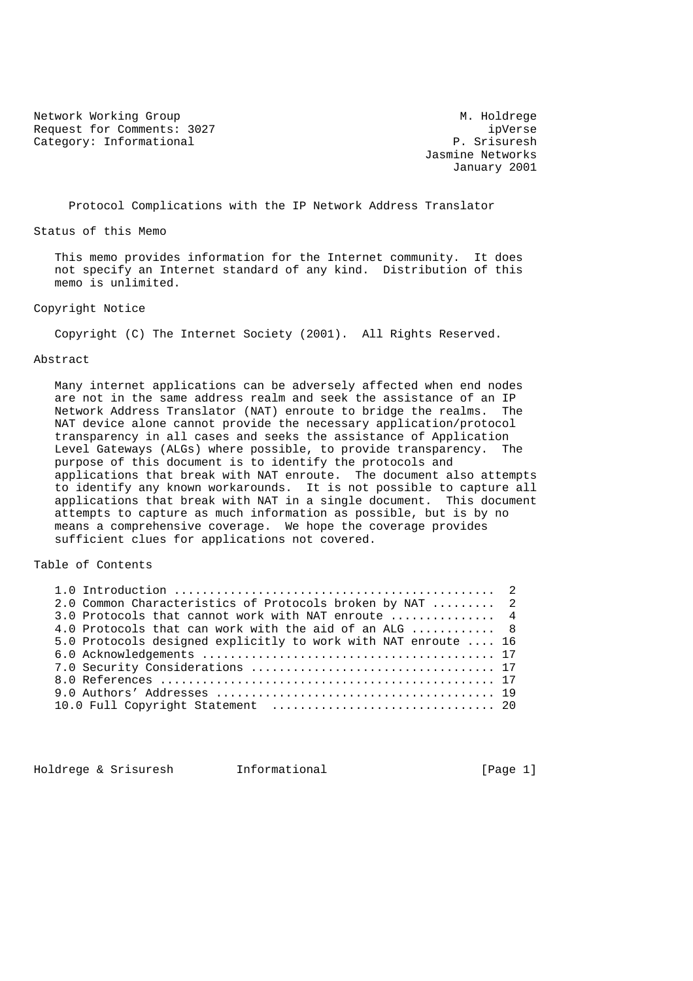Network Working Group Methods and M. Holdrege Request for Comments: 3027 ipVerse Category: Informational P. Srisuresh

 Jasmine Networks January 2001

Protocol Complications with the IP Network Address Translator

Status of this Memo

 This memo provides information for the Internet community. It does not specify an Internet standard of any kind. Distribution of this memo is unlimited.

## Copyright Notice

Copyright (C) The Internet Society (2001). All Rights Reserved.

### Abstract

 Many internet applications can be adversely affected when end nodes are not in the same address realm and seek the assistance of an IP Network Address Translator (NAT) enroute to bridge the realms. The NAT device alone cannot provide the necessary application/protocol transparency in all cases and seeks the assistance of Application Level Gateways (ALGs) where possible, to provide transparency. The purpose of this document is to identify the protocols and applications that break with NAT enroute. The document also attempts to identify any known workarounds. It is not possible to capture all applications that break with NAT in a single document. This document attempts to capture as much information as possible, but is by no means a comprehensive coverage. We hope the coverage provides sufficient clues for applications not covered.

### Table of Contents

| 2.0 Common Characteristics of Protocols broken by NAT  2             |  |
|----------------------------------------------------------------------|--|
| 3.0 Protocols that cannot work with NAT enroute  4                   |  |
| 4.0 Protocols that can work with the aid of an ALG $\ldots, \ldots,$ |  |
| 5.0 Protocols designed explicitly to work with NAT enroute  16       |  |
|                                                                      |  |
|                                                                      |  |
|                                                                      |  |
|                                                                      |  |
|                                                                      |  |

Holdrege & Srisuresh 1nformational 1000 [Page 1]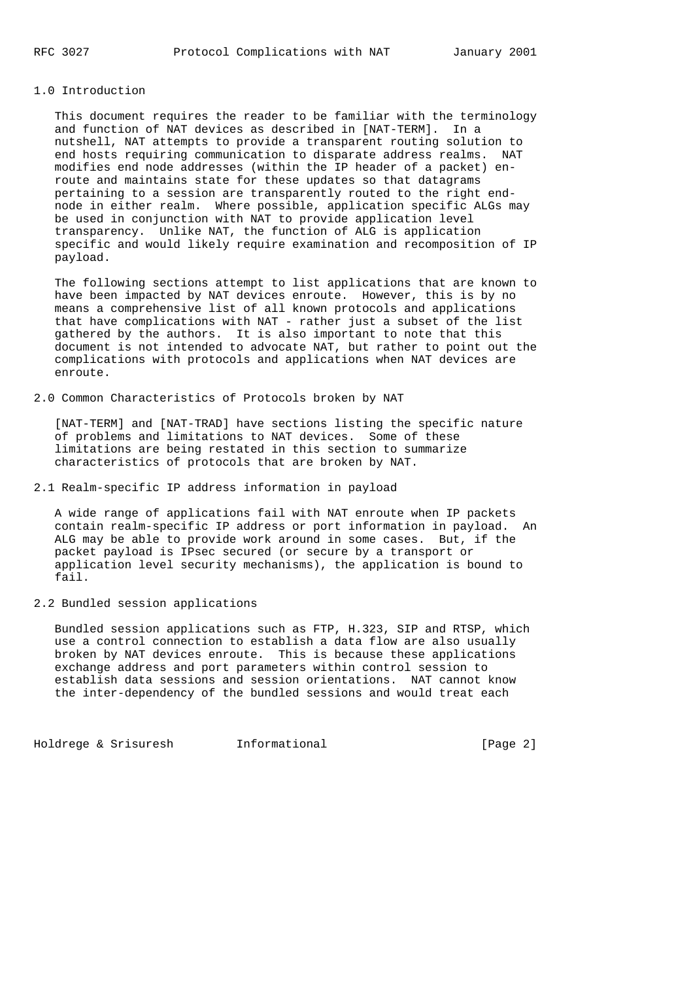# 1.0 Introduction

 This document requires the reader to be familiar with the terminology and function of NAT devices as described in [NAT-TERM]. In a nutshell, NAT attempts to provide a transparent routing solution to end hosts requiring communication to disparate address realms. NAT modifies end node addresses (within the IP header of a packet) en route and maintains state for these updates so that datagrams pertaining to a session are transparently routed to the right end node in either realm. Where possible, application specific ALGs may be used in conjunction with NAT to provide application level transparency. Unlike NAT, the function of ALG is application specific and would likely require examination and recomposition of IP payload.

 The following sections attempt to list applications that are known to have been impacted by NAT devices enroute. However, this is by no means a comprehensive list of all known protocols and applications that have complications with NAT - rather just a subset of the list gathered by the authors. It is also important to note that this document is not intended to advocate NAT, but rather to point out the complications with protocols and applications when NAT devices are enroute.

### 2.0 Common Characteristics of Protocols broken by NAT

 [NAT-TERM] and [NAT-TRAD] have sections listing the specific nature of problems and limitations to NAT devices. Some of these limitations are being restated in this section to summarize characteristics of protocols that are broken by NAT.

# 2.1 Realm-specific IP address information in payload

 A wide range of applications fail with NAT enroute when IP packets contain realm-specific IP address or port information in payload. An ALG may be able to provide work around in some cases. But, if the packet payload is IPsec secured (or secure by a transport or application level security mechanisms), the application is bound to fail.

### 2.2 Bundled session applications

 Bundled session applications such as FTP, H.323, SIP and RTSP, which use a control connection to establish a data flow are also usually broken by NAT devices enroute. This is because these applications exchange address and port parameters within control session to establish data sessions and session orientations. NAT cannot know the inter-dependency of the bundled sessions and would treat each

Holdrege & Srisuresh Informational [Page 2]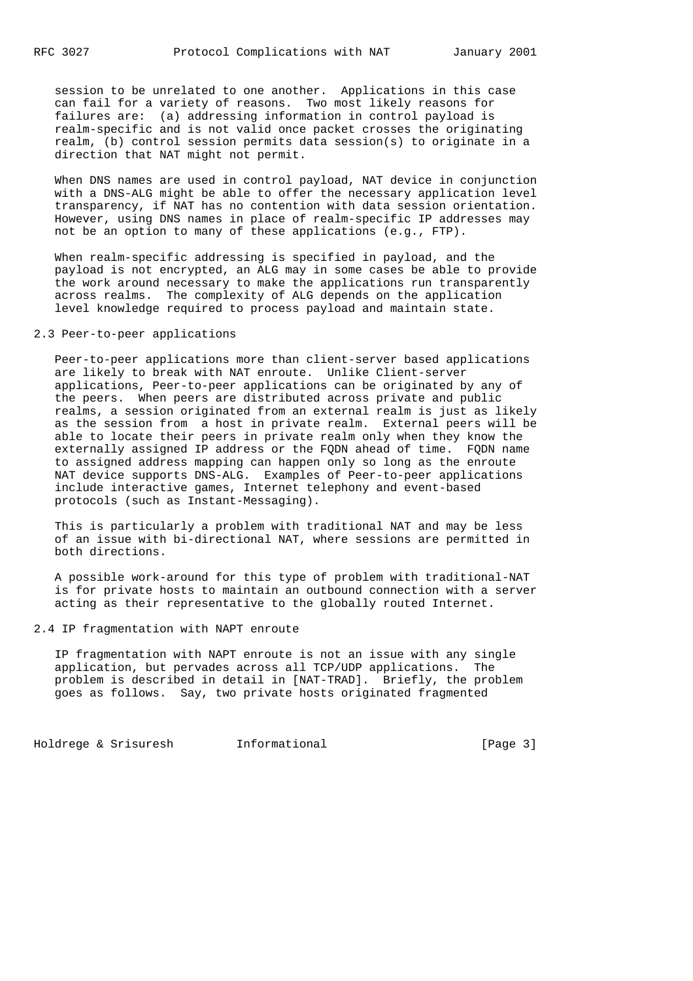session to be unrelated to one another. Applications in this case can fail for a variety of reasons. Two most likely reasons for failures are: (a) addressing information in control payload is realm-specific and is not valid once packet crosses the originating realm, (b) control session permits data session(s) to originate in a direction that NAT might not permit.

 When DNS names are used in control payload, NAT device in conjunction with a DNS-ALG might be able to offer the necessary application level transparency, if NAT has no contention with data session orientation. However, using DNS names in place of realm-specific IP addresses may not be an option to many of these applications (e.g., FTP).

 When realm-specific addressing is specified in payload, and the payload is not encrypted, an ALG may in some cases be able to provide the work around necessary to make the applications run transparently across realms. The complexity of ALG depends on the application level knowledge required to process payload and maintain state.

# 2.3 Peer-to-peer applications

 Peer-to-peer applications more than client-server based applications are likely to break with NAT enroute. Unlike Client-server applications, Peer-to-peer applications can be originated by any of the peers. When peers are distributed across private and public realms, a session originated from an external realm is just as likely as the session from a host in private realm. External peers will be able to locate their peers in private realm only when they know the externally assigned IP address or the FQDN ahead of time. FQDN name to assigned address mapping can happen only so long as the enroute NAT device supports DNS-ALG. Examples of Peer-to-peer applications include interactive games, Internet telephony and event-based protocols (such as Instant-Messaging).

 This is particularly a problem with traditional NAT and may be less of an issue with bi-directional NAT, where sessions are permitted in both directions.

 A possible work-around for this type of problem with traditional-NAT is for private hosts to maintain an outbound connection with a server acting as their representative to the globally routed Internet.

2.4 IP fragmentation with NAPT enroute

 IP fragmentation with NAPT enroute is not an issue with any single application, but pervades across all TCP/UDP applications. The problem is described in detail in [NAT-TRAD]. Briefly, the problem goes as follows. Say, two private hosts originated fragmented

Holdrege & Srisuresh Informational (Page 3)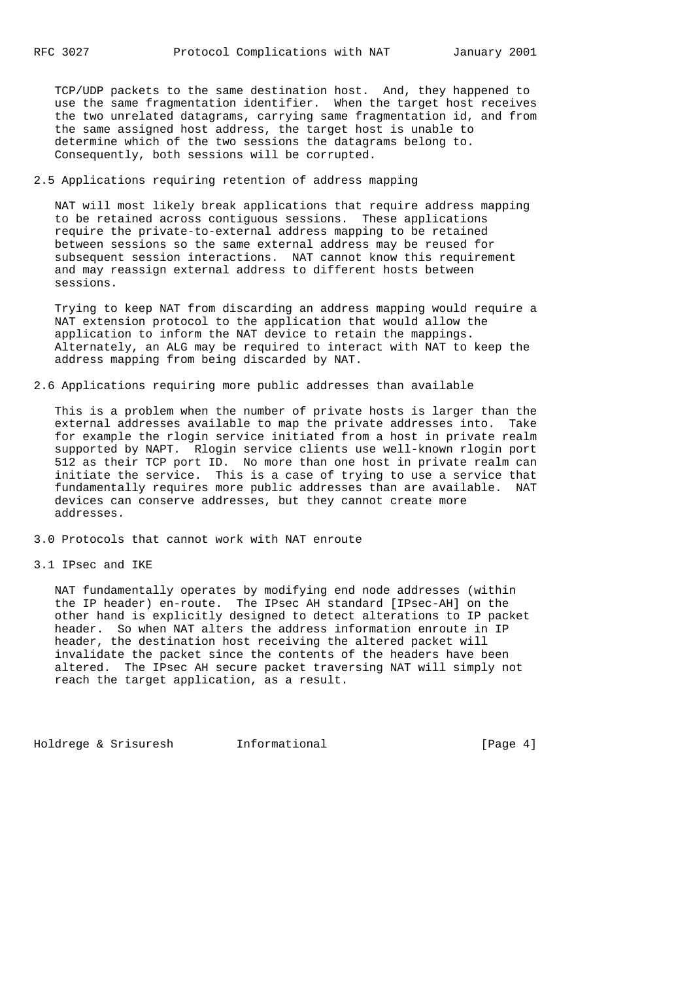TCP/UDP packets to the same destination host. And, they happened to use the same fragmentation identifier. When the target host receives the two unrelated datagrams, carrying same fragmentation id, and from the same assigned host address, the target host is unable to determine which of the two sessions the datagrams belong to. Consequently, both sessions will be corrupted.

## 2.5 Applications requiring retention of address mapping

 NAT will most likely break applications that require address mapping to be retained across contiguous sessions. These applications require the private-to-external address mapping to be retained between sessions so the same external address may be reused for subsequent session interactions. NAT cannot know this requirement and may reassign external address to different hosts between sessions.

 Trying to keep NAT from discarding an address mapping would require a NAT extension protocol to the application that would allow the application to inform the NAT device to retain the mappings. Alternately, an ALG may be required to interact with NAT to keep the address mapping from being discarded by NAT.

## 2.6 Applications requiring more public addresses than available

 This is a problem when the number of private hosts is larger than the external addresses available to map the private addresses into. Take for example the rlogin service initiated from a host in private realm supported by NAPT. Rlogin service clients use well-known rlogin port 512 as their TCP port ID. No more than one host in private realm can initiate the service. This is a case of trying to use a service that fundamentally requires more public addresses than are available. NAT devices can conserve addresses, but they cannot create more addresses.

3.0 Protocols that cannot work with NAT enroute

### 3.1 IPsec and IKE

 NAT fundamentally operates by modifying end node addresses (within the IP header) en-route. The IPsec AH standard [IPsec-AH] on the other hand is explicitly designed to detect alterations to IP packet header. So when NAT alters the address information enroute in IP header, the destination host receiving the altered packet will invalidate the packet since the contents of the headers have been altered. The IPsec AH secure packet traversing NAT will simply not reach the target application, as a result.

Holdrege & Srisuresh Informational [Page 4]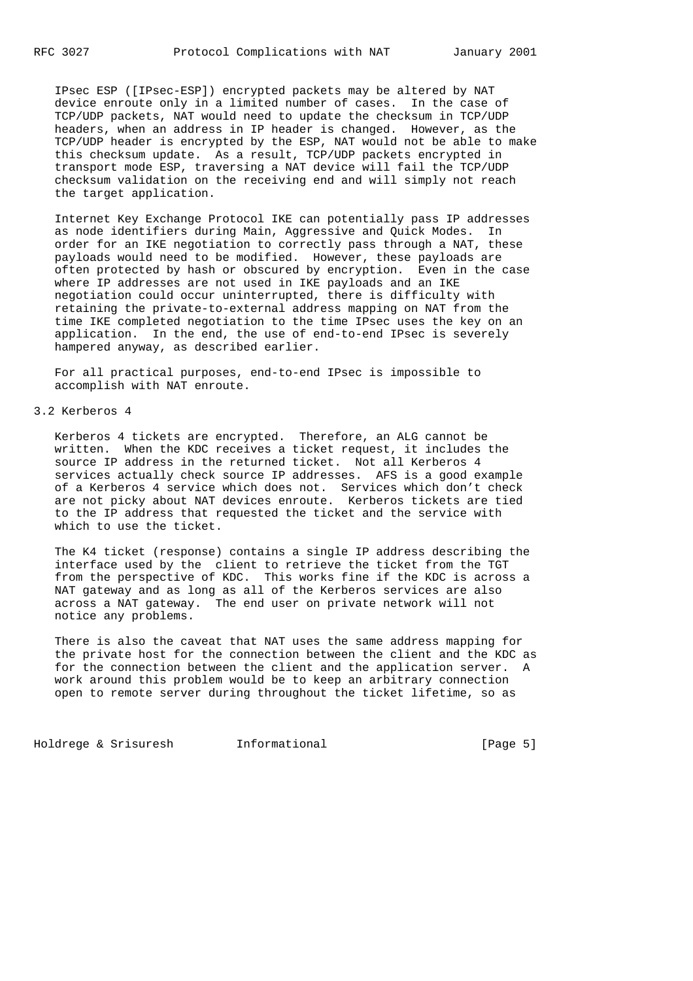IPsec ESP ([IPsec-ESP]) encrypted packets may be altered by NAT device enroute only in a limited number of cases. In the case of TCP/UDP packets, NAT would need to update the checksum in TCP/UDP headers, when an address in IP header is changed. However, as the TCP/UDP header is encrypted by the ESP, NAT would not be able to make this checksum update. As a result, TCP/UDP packets encrypted in transport mode ESP, traversing a NAT device will fail the TCP/UDP checksum validation on the receiving end and will simply not reach the target application.

 Internet Key Exchange Protocol IKE can potentially pass IP addresses as node identifiers during Main, Aggressive and Quick Modes. In order for an IKE negotiation to correctly pass through a NAT, these payloads would need to be modified. However, these payloads are often protected by hash or obscured by encryption. Even in the case where IP addresses are not used in IKE payloads and an IKE negotiation could occur uninterrupted, there is difficulty with retaining the private-to-external address mapping on NAT from the time IKE completed negotiation to the time IPsec uses the key on an application. In the end, the use of end-to-end IPsec is severely hampered anyway, as described earlier.

 For all practical purposes, end-to-end IPsec is impossible to accomplish with NAT enroute.

#### 3.2 Kerberos 4

 Kerberos 4 tickets are encrypted. Therefore, an ALG cannot be written. When the KDC receives a ticket request, it includes the source IP address in the returned ticket. Not all Kerberos 4 services actually check source IP addresses. AFS is a good example of a Kerberos 4 service which does not. Services which don't check are not picky about NAT devices enroute. Kerberos tickets are tied to the IP address that requested the ticket and the service with which to use the ticket.

 The K4 ticket (response) contains a single IP address describing the interface used by the client to retrieve the ticket from the TGT from the perspective of KDC. This works fine if the KDC is across a NAT gateway and as long as all of the Kerberos services are also across a NAT gateway. The end user on private network will not notice any problems.

 There is also the caveat that NAT uses the same address mapping for the private host for the connection between the client and the KDC as for the connection between the client and the application server. A work around this problem would be to keep an arbitrary connection open to remote server during throughout the ticket lifetime, so as

Holdrege & Srisuresh Informational (Page 5)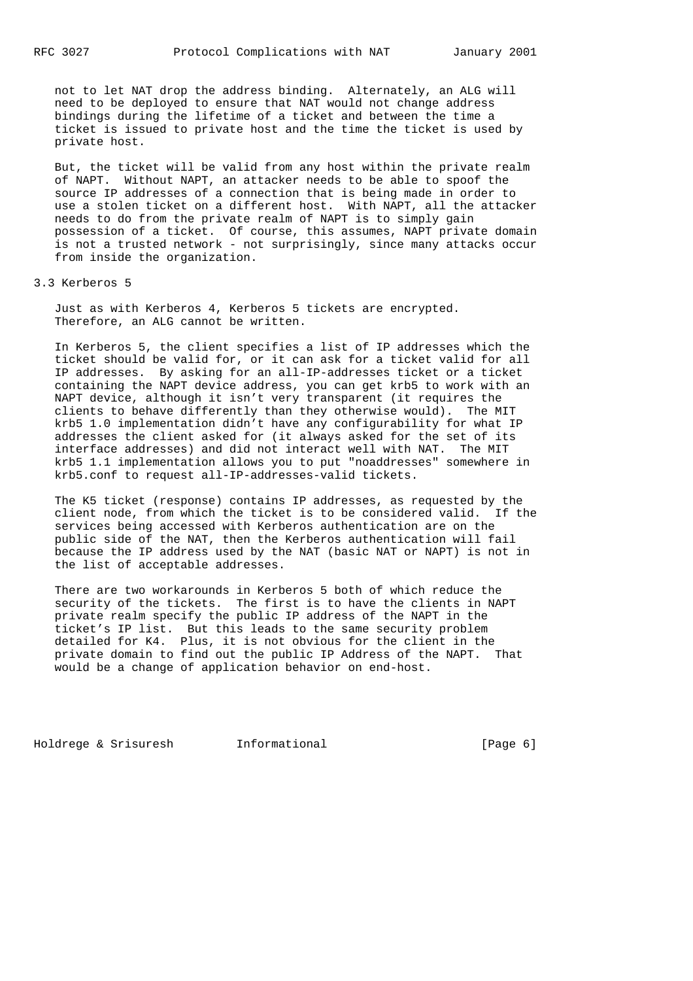not to let NAT drop the address binding. Alternately, an ALG will need to be deployed to ensure that NAT would not change address bindings during the lifetime of a ticket and between the time a ticket is issued to private host and the time the ticket is used by private host.

 But, the ticket will be valid from any host within the private realm of NAPT. Without NAPT, an attacker needs to be able to spoof the source IP addresses of a connection that is being made in order to use a stolen ticket on a different host. With NAPT, all the attacker needs to do from the private realm of NAPT is to simply gain possession of a ticket. Of course, this assumes, NAPT private domain is not a trusted network - not surprisingly, since many attacks occur from inside the organization.

### 3.3 Kerberos 5

 Just as with Kerberos 4, Kerberos 5 tickets are encrypted. Therefore, an ALG cannot be written.

 In Kerberos 5, the client specifies a list of IP addresses which the ticket should be valid for, or it can ask for a ticket valid for all IP addresses. By asking for an all-IP-addresses ticket or a ticket containing the NAPT device address, you can get krb5 to work with an NAPT device, although it isn't very transparent (it requires the clients to behave differently than they otherwise would). The MIT krb5 1.0 implementation didn't have any configurability for what IP addresses the client asked for (it always asked for the set of its interface addresses) and did not interact well with NAT. The MIT krb5 1.1 implementation allows you to put "noaddresses" somewhere in krb5.conf to request all-IP-addresses-valid tickets.

 The K5 ticket (response) contains IP addresses, as requested by the client node, from which the ticket is to be considered valid. If the services being accessed with Kerberos authentication are on the public side of the NAT, then the Kerberos authentication will fail because the IP address used by the NAT (basic NAT or NAPT) is not in the list of acceptable addresses.

 There are two workarounds in Kerberos 5 both of which reduce the security of the tickets. The first is to have the clients in NAPT private realm specify the public IP address of the NAPT in the ticket's IP list. But this leads to the same security problem detailed for K4. Plus, it is not obvious for the client in the private domain to find out the public IP Address of the NAPT. That would be a change of application behavior on end-host.

Holdrege & Srisuresh Informational (Page 6)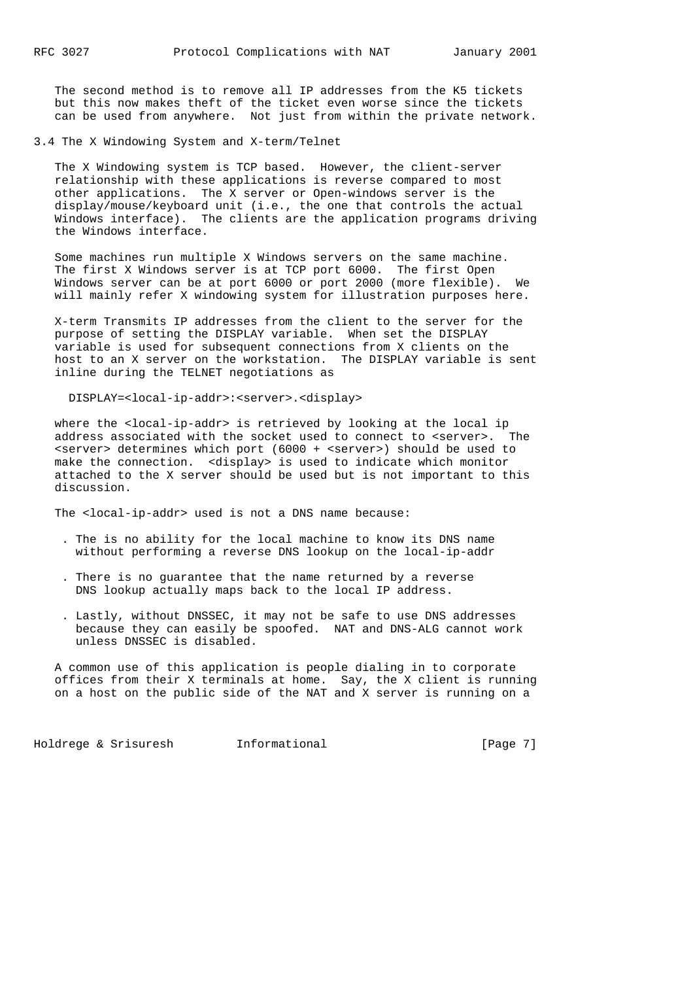The second method is to remove all IP addresses from the K5 tickets but this now makes theft of the ticket even worse since the tickets can be used from anywhere. Not just from within the private network.

3.4 The X Windowing System and X-term/Telnet

 The X Windowing system is TCP based. However, the client-server relationship with these applications is reverse compared to most other applications. The X server or Open-windows server is the display/mouse/keyboard unit (i.e., the one that controls the actual Windows interface). The clients are the application programs driving the Windows interface.

 Some machines run multiple X Windows servers on the same machine. The first X Windows server is at TCP port 6000. The first Open Windows server can be at port 6000 or port 2000 (more flexible). We will mainly refer X windowing system for illustration purposes here.

 X-term Transmits IP addresses from the client to the server for the purpose of setting the DISPLAY variable. When set the DISPLAY variable is used for subsequent connections from X clients on the host to an X server on the workstation. The DISPLAY variable is sent inline during the TELNET negotiations as

DISPLAY=<local-ip-addr>:<server>.<display>

where the <local-ip-addr> is retrieved by looking at the local ip address associated with the socket used to connect to <server>. The <server> determines which port (6000 + <server>) should be used to make the connection. <display> is used to indicate which monitor attached to the X server should be used but is not important to this discussion.

The <local-ip-addr> used is not a DNS name because:

- . The is no ability for the local machine to know its DNS name without performing a reverse DNS lookup on the local-ip-addr
- . There is no guarantee that the name returned by a reverse DNS lookup actually maps back to the local IP address.
- . Lastly, without DNSSEC, it may not be safe to use DNS addresses because they can easily be spoofed. NAT and DNS-ALG cannot work unless DNSSEC is disabled.

 A common use of this application is people dialing in to corporate offices from their X terminals at home. Say, the X client is running on a host on the public side of the NAT and X server is running on a

Holdrege & Srisuresh Informational [Page 7]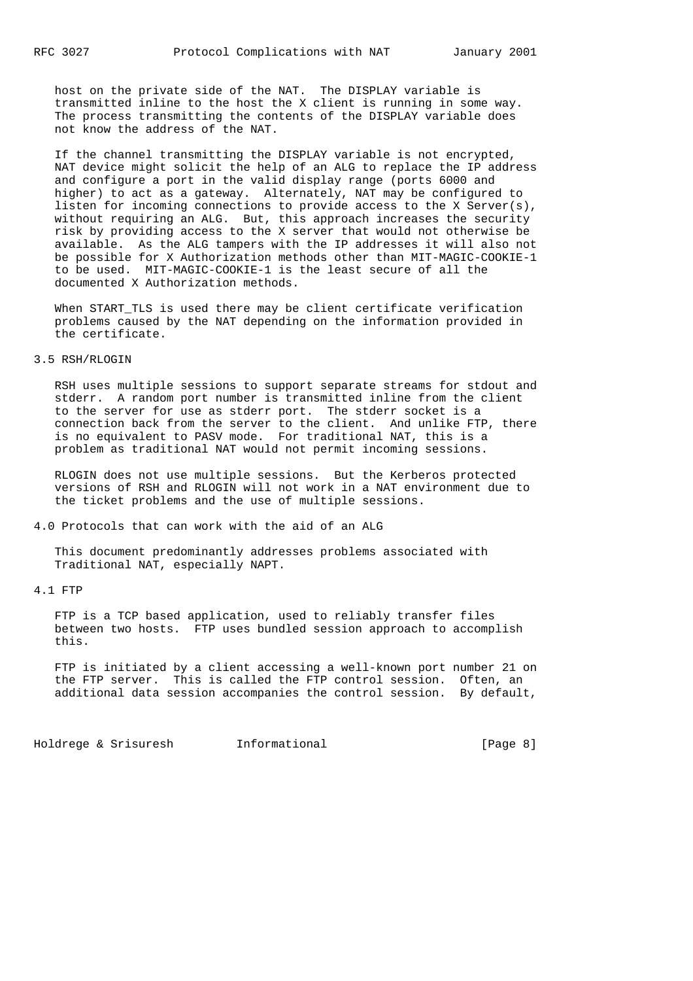host on the private side of the NAT. The DISPLAY variable is transmitted inline to the host the X client is running in some way. The process transmitting the contents of the DISPLAY variable does not know the address of the NAT.

 If the channel transmitting the DISPLAY variable is not encrypted, NAT device might solicit the help of an ALG to replace the IP address and configure a port in the valid display range (ports 6000 and higher) to act as a gateway. Alternately, NAT may be configured to listen for incoming connections to provide access to the X Server(s), without requiring an ALG. But, this approach increases the security risk by providing access to the X server that would not otherwise be available. As the ALG tampers with the IP addresses it will also not be possible for X Authorization methods other than MIT-MAGIC-COOKIE-1 to be used. MIT-MAGIC-COOKIE-1 is the least secure of all the documented X Authorization methods.

When START TLS is used there may be client certificate verification problems caused by the NAT depending on the information provided in the certificate.

#### 3.5 RSH/RLOGIN

 RSH uses multiple sessions to support separate streams for stdout and stderr. A random port number is transmitted inline from the client to the server for use as stderr port. The stderr socket is a connection back from the server to the client. And unlike FTP, there is no equivalent to PASV mode. For traditional NAT, this is a problem as traditional NAT would not permit incoming sessions.

 RLOGIN does not use multiple sessions. But the Kerberos protected versions of RSH and RLOGIN will not work in a NAT environment due to the ticket problems and the use of multiple sessions.

4.0 Protocols that can work with the aid of an ALG

 This document predominantly addresses problems associated with Traditional NAT, especially NAPT.

# 4.1 FTP

 FTP is a TCP based application, used to reliably transfer files between two hosts. FTP uses bundled session approach to accomplish this.

 FTP is initiated by a client accessing a well-known port number 21 on the FTP server. This is called the FTP control session. Often, an additional data session accompanies the control session. By default,

Holdrege & Srisuresh Informational (Page 8)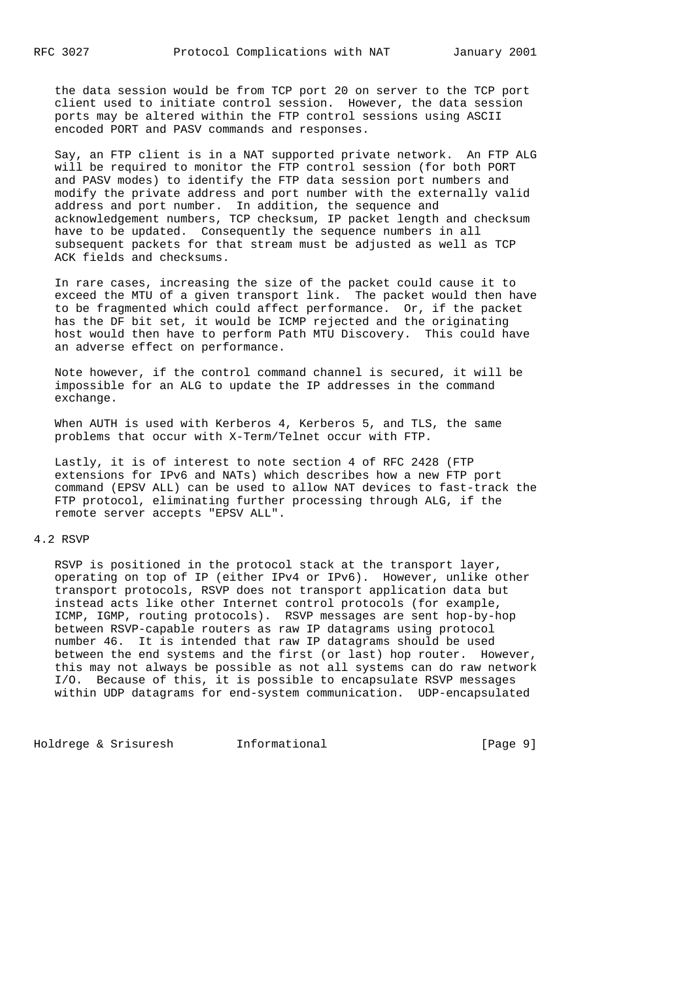the data session would be from TCP port 20 on server to the TCP port client used to initiate control session. However, the data session ports may be altered within the FTP control sessions using ASCII encoded PORT and PASV commands and responses.

 Say, an FTP client is in a NAT supported private network. An FTP ALG will be required to monitor the FTP control session (for both PORT and PASV modes) to identify the FTP data session port numbers and modify the private address and port number with the externally valid address and port number. In addition, the sequence and acknowledgement numbers, TCP checksum, IP packet length and checksum have to be updated. Consequently the sequence numbers in all subsequent packets for that stream must be adjusted as well as TCP ACK fields and checksums.

 In rare cases, increasing the size of the packet could cause it to exceed the MTU of a given transport link. The packet would then have to be fragmented which could affect performance. Or, if the packet has the DF bit set, it would be ICMP rejected and the originating host would then have to perform Path MTU Discovery. This could have an adverse effect on performance.

 Note however, if the control command channel is secured, it will be impossible for an ALG to update the IP addresses in the command exchange.

When AUTH is used with Kerberos 4, Kerberos 5, and TLS, the same problems that occur with X-Term/Telnet occur with FTP.

 Lastly, it is of interest to note section 4 of RFC 2428 (FTP extensions for IPv6 and NATs) which describes how a new FTP port command (EPSV ALL) can be used to allow NAT devices to fast-track the FTP protocol, eliminating further processing through ALG, if the remote server accepts "EPSV ALL".

## 4.2 RSVP

 RSVP is positioned in the protocol stack at the transport layer, operating on top of IP (either IPv4 or IPv6). However, unlike other transport protocols, RSVP does not transport application data but instead acts like other Internet control protocols (for example, ICMP, IGMP, routing protocols). RSVP messages are sent hop-by-hop between RSVP-capable routers as raw IP datagrams using protocol number 46. It is intended that raw IP datagrams should be used between the end systems and the first (or last) hop router. However, this may not always be possible as not all systems can do raw network I/O. Because of this, it is possible to encapsulate RSVP messages within UDP datagrams for end-system communication. UDP-encapsulated

Holdrege & Srisuresh Informational [Page 9]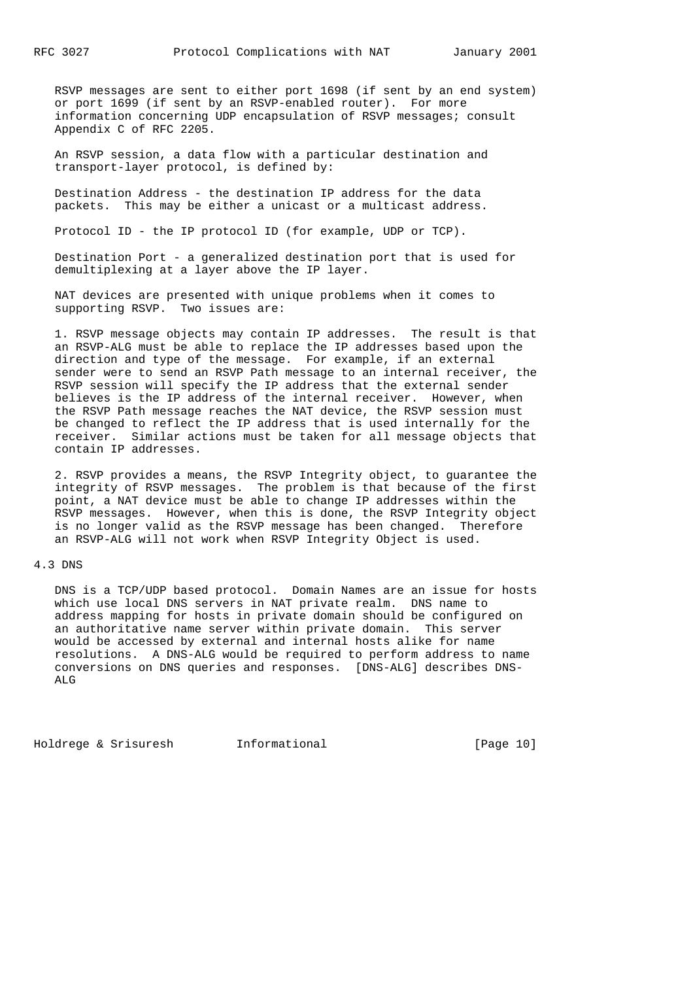RSVP messages are sent to either port 1698 (if sent by an end system) or port 1699 (if sent by an RSVP-enabled router). For more information concerning UDP encapsulation of RSVP messages; consult Appendix C of RFC 2205.

 An RSVP session, a data flow with a particular destination and transport-layer protocol, is defined by:

 Destination Address - the destination IP address for the data packets. This may be either a unicast or a multicast address.

Protocol ID - the IP protocol ID (for example, UDP or TCP).

 Destination Port - a generalized destination port that is used for demultiplexing at a layer above the IP layer.

 NAT devices are presented with unique problems when it comes to supporting RSVP. Two issues are:

 1. RSVP message objects may contain IP addresses. The result is that an RSVP-ALG must be able to replace the IP addresses based upon the direction and type of the message. For example, if an external sender were to send an RSVP Path message to an internal receiver, the RSVP session will specify the IP address that the external sender believes is the IP address of the internal receiver. However, when the RSVP Path message reaches the NAT device, the RSVP session must be changed to reflect the IP address that is used internally for the receiver. Similar actions must be taken for all message objects that contain IP addresses.

 2. RSVP provides a means, the RSVP Integrity object, to guarantee the integrity of RSVP messages. The problem is that because of the first point, a NAT device must be able to change IP addresses within the RSVP messages. However, when this is done, the RSVP Integrity object is no longer valid as the RSVP message has been changed. Therefore an RSVP-ALG will not work when RSVP Integrity Object is used.

### 4.3 DNS

 DNS is a TCP/UDP based protocol. Domain Names are an issue for hosts which use local DNS servers in NAT private realm. DNS name to address mapping for hosts in private domain should be configured on an authoritative name server within private domain. This server would be accessed by external and internal hosts alike for name resolutions. A DNS-ALG would be required to perform address to name conversions on DNS queries and responses. [DNS-ALG] describes DNS- ALG

Holdrege & Srisuresh Informational [Page 10]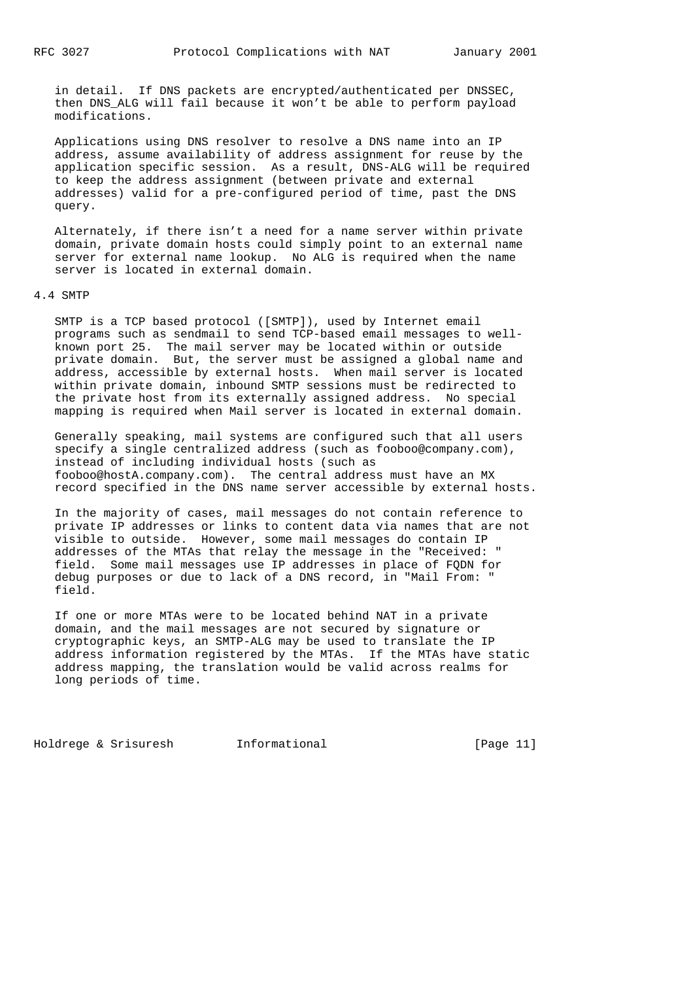in detail. If DNS packets are encrypted/authenticated per DNSSEC, then DNS\_ALG will fail because it won't be able to perform payload modifications.

 Applications using DNS resolver to resolve a DNS name into an IP address, assume availability of address assignment for reuse by the application specific session. As a result, DNS-ALG will be required to keep the address assignment (between private and external addresses) valid for a pre-configured period of time, past the DNS query.

 Alternately, if there isn't a need for a name server within private domain, private domain hosts could simply point to an external name server for external name lookup. No ALG is required when the name server is located in external domain.

#### 4.4 SMTP

 SMTP is a TCP based protocol ([SMTP]), used by Internet email programs such as sendmail to send TCP-based email messages to well known port 25. The mail server may be located within or outside private domain. But, the server must be assigned a global name and address, accessible by external hosts. When mail server is located within private domain, inbound SMTP sessions must be redirected to the private host from its externally assigned address. No special mapping is required when Mail server is located in external domain.

 Generally speaking, mail systems are configured such that all users specify a single centralized address (such as fooboo@company.com), instead of including individual hosts (such as fooboo@hostA.company.com). The central address must have an MX record specified in the DNS name server accessible by external hosts.

 In the majority of cases, mail messages do not contain reference to private IP addresses or links to content data via names that are not visible to outside. However, some mail messages do contain IP addresses of the MTAs that relay the message in the "Received: " field. Some mail messages use IP addresses in place of FQDN for debug purposes or due to lack of a DNS record, in "Mail From: " field.

 If one or more MTAs were to be located behind NAT in a private domain, and the mail messages are not secured by signature or cryptographic keys, an SMTP-ALG may be used to translate the IP address information registered by the MTAs. If the MTAs have static address mapping, the translation would be valid across realms for long periods of time.

Holdrege & Srisuresh Informational [Page 11]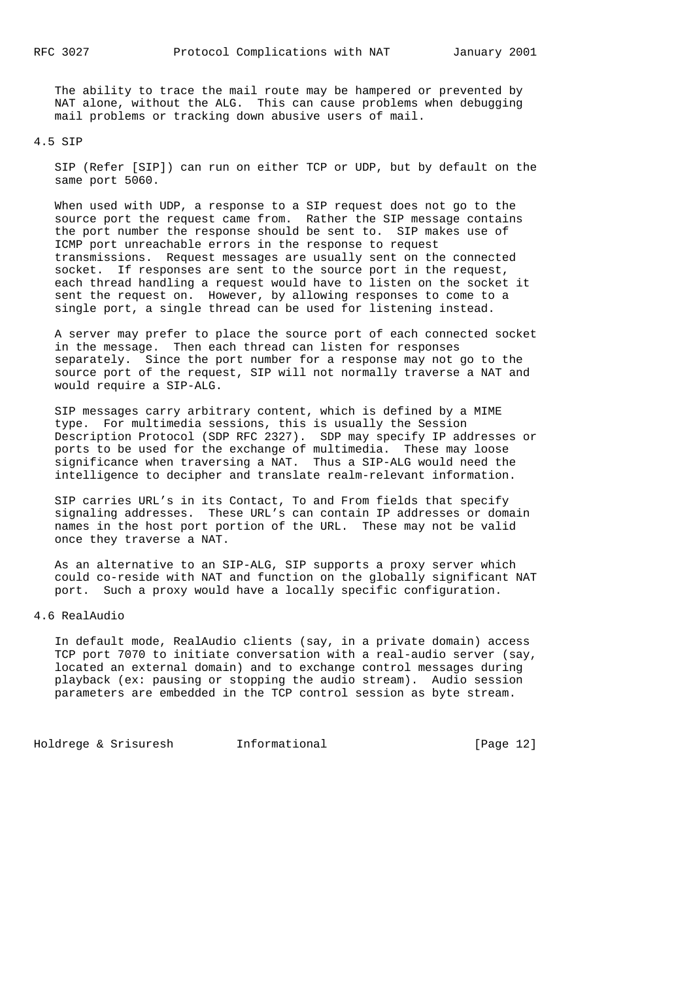The ability to trace the mail route may be hampered or prevented by NAT alone, without the ALG. This can cause problems when debugging mail problems or tracking down abusive users of mail.

4.5 SIP

 SIP (Refer [SIP]) can run on either TCP or UDP, but by default on the same port 5060.

 When used with UDP, a response to a SIP request does not go to the source port the request came from. Rather the SIP message contains the port number the response should be sent to. SIP makes use of ICMP port unreachable errors in the response to request transmissions. Request messages are usually sent on the connected socket. If responses are sent to the source port in the request, each thread handling a request would have to listen on the socket it sent the request on. However, by allowing responses to come to a single port, a single thread can be used for listening instead.

 A server may prefer to place the source port of each connected socket in the message. Then each thread can listen for responses separately. Since the port number for a response may not go to the source port of the request, SIP will not normally traverse a NAT and would require a SIP-ALG.

 SIP messages carry arbitrary content, which is defined by a MIME type. For multimedia sessions, this is usually the Session Description Protocol (SDP RFC 2327). SDP may specify IP addresses or ports to be used for the exchange of multimedia. These may loose significance when traversing a NAT. Thus a SIP-ALG would need the intelligence to decipher and translate realm-relevant information.

 SIP carries URL's in its Contact, To and From fields that specify signaling addresses. These URL's can contain IP addresses or domain names in the host port portion of the URL. These may not be valid once they traverse a NAT.

 As an alternative to an SIP-ALG, SIP supports a proxy server which could co-reside with NAT and function on the globally significant NAT port. Such a proxy would have a locally specific configuration.

4.6 RealAudio

 In default mode, RealAudio clients (say, in a private domain) access TCP port 7070 to initiate conversation with a real-audio server (say, located an external domain) and to exchange control messages during playback (ex: pausing or stopping the audio stream). Audio session parameters are embedded in the TCP control session as byte stream.

Holdrege & Srisuresh Informational [Page 12]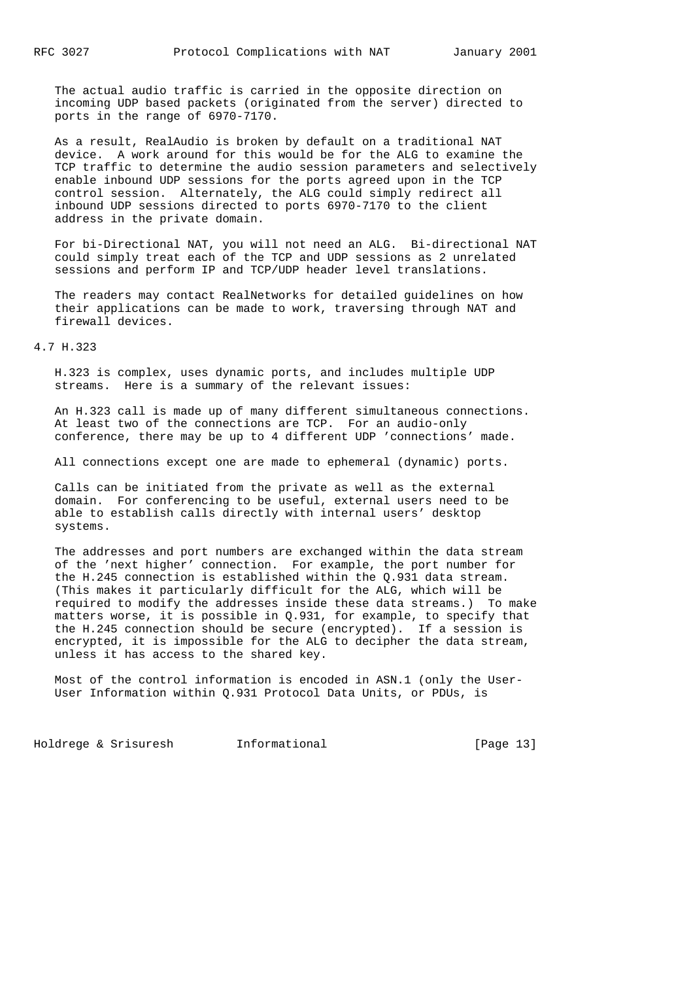The actual audio traffic is carried in the opposite direction on incoming UDP based packets (originated from the server) directed to ports in the range of 6970-7170.

 As a result, RealAudio is broken by default on a traditional NAT device. A work around for this would be for the ALG to examine the TCP traffic to determine the audio session parameters and selectively enable inbound UDP sessions for the ports agreed upon in the TCP control session. Alternately, the ALG could simply redirect all inbound UDP sessions directed to ports 6970-7170 to the client address in the private domain.

 For bi-Directional NAT, you will not need an ALG. Bi-directional NAT could simply treat each of the TCP and UDP sessions as 2 unrelated sessions and perform IP and TCP/UDP header level translations.

 The readers may contact RealNetworks for detailed guidelines on how their applications can be made to work, traversing through NAT and firewall devices.

4.7 H.323

 H.323 is complex, uses dynamic ports, and includes multiple UDP streams. Here is a summary of the relevant issues:

 An H.323 call is made up of many different simultaneous connections. At least two of the connections are TCP. For an audio-only conference, there may be up to 4 different UDP 'connections' made.

All connections except one are made to ephemeral (dynamic) ports.

 Calls can be initiated from the private as well as the external domain. For conferencing to be useful, external users need to be able to establish calls directly with internal users' desktop systems.

 The addresses and port numbers are exchanged within the data stream of the 'next higher' connection. For example, the port number for the H.245 connection is established within the Q.931 data stream. (This makes it particularly difficult for the ALG, which will be required to modify the addresses inside these data streams.) To make matters worse, it is possible in Q.931, for example, to specify that the H.245 connection should be secure (encrypted). If a session is encrypted, it is impossible for the ALG to decipher the data stream, unless it has access to the shared key.

 Most of the control information is encoded in ASN.1 (only the User- User Information within Q.931 Protocol Data Units, or PDUs, is

Holdrege & Srisuresh Informational [Page 13]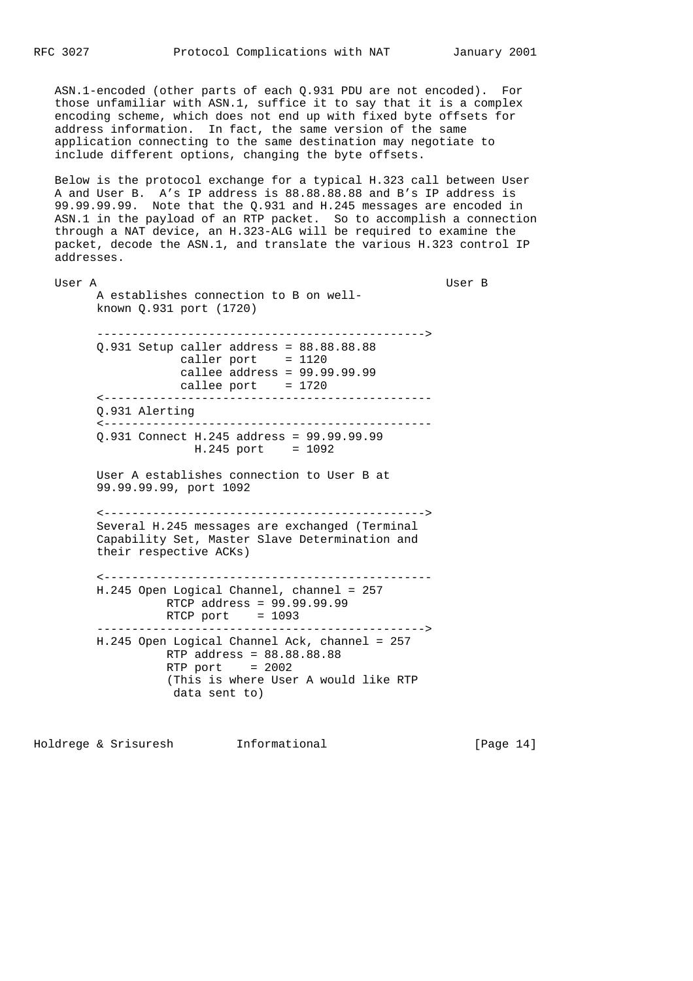ASN.1-encoded (other parts of each Q.931 PDU are not encoded). For those unfamiliar with ASN.1, suffice it to say that it is a complex encoding scheme, which does not end up with fixed byte offsets for address information. In fact, the same version of the same application connecting to the same destination may negotiate to include different options, changing the byte offsets.

 Below is the protocol exchange for a typical H.323 call between User A and User B. A's IP address is 88.88.88.88 and B's IP address is 99.99.99.99. Note that the Q.931 and H.245 messages are encoded in ASN.1 in the payload of an RTP packet. So to accomplish a connection through a NAT device, an H.323-ALG will be required to examine the packet, decode the ASN.1, and translate the various H.323 control IP addresses.

 User A User B A establishes connection to B on well known Q.931 port (1720) -----------------------------------------------> Q.931 Setup caller address = 88.88.88.88 caller port  $= 1120$  callee address = 99.99.99.99 callee  $port = 1720$  <----------------------------------------------- Q.931 Alerting <----------------------------------------------- Q.931 Connect H.245 address = 99.99.99.99 H.245 port = 1092 User A establishes connection to User B at 99.99.99.99, port 1092 <----------------------------------------------> Several H.245 messages are exchanged (Terminal Capability Set, Master Slave Determination and their respective ACKs) <----------------------------------------------- H.245 Open Logical Channel, channel = 257 RTCP address = 99.99.99.99  $RTCP$  port = 1093 -----------------------------------------------> H.245 Open Logical Channel Ack, channel = 257 RTP address = 88.88.88.88  $RTP$  port = 2002 (This is where User A would like RTP data sent to)

Holdrege & Srisuresh Informational [Page 14]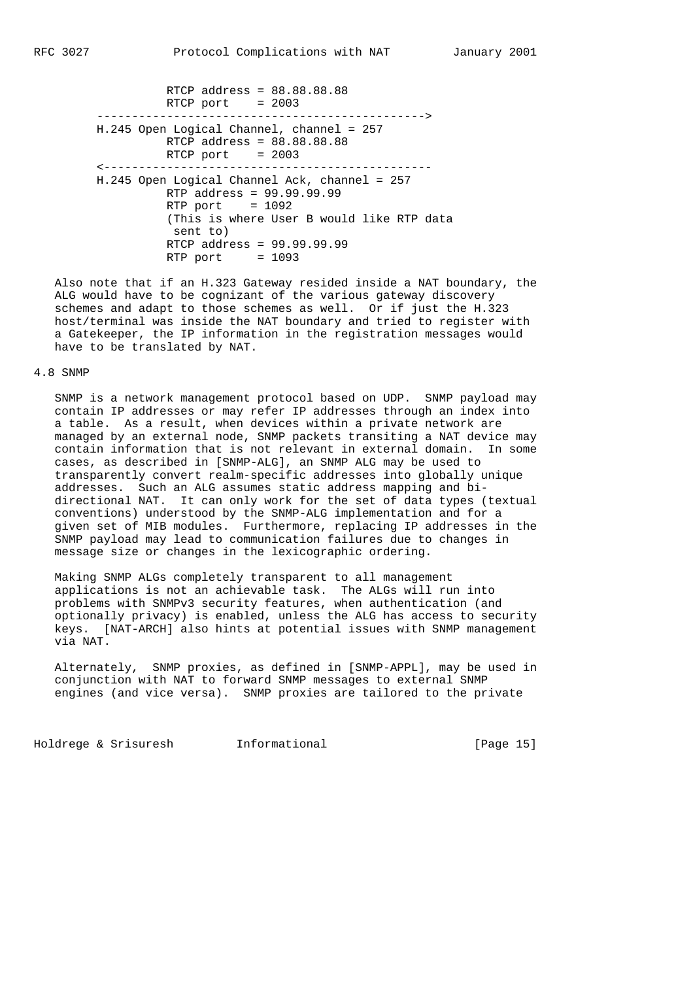RTCP address = 88.88.88.88 RTCP port = 2003 -----------------------------------------------> H.245 Open Logical Channel, channel = 257 RTCP address = 88.88.88.88  $RTCP$  port = 2003 <----------------------------------------------- H.245 Open Logical Channel Ack, channel = 257 RTP address = 99.99.99.99 RTP port  $= 1092$  (This is where User B would like RTP data sent to) RTCP address = 99.99.99.99  $RTP$  port = 1093

 Also note that if an H.323 Gateway resided inside a NAT boundary, the ALG would have to be cognizant of the various gateway discovery schemes and adapt to those schemes as well. Or if just the H.323 host/terminal was inside the NAT boundary and tried to register with a Gatekeeper, the IP information in the registration messages would have to be translated by NAT.

# 4.8 SNMP

 SNMP is a network management protocol based on UDP. SNMP payload may contain IP addresses or may refer IP addresses through an index into a table. As a result, when devices within a private network are managed by an external node, SNMP packets transiting a NAT device may contain information that is not relevant in external domain. In some cases, as described in [SNMP-ALG], an SNMP ALG may be used to transparently convert realm-specific addresses into globally unique addresses. Such an ALG assumes static address mapping and bi directional NAT. It can only work for the set of data types (textual conventions) understood by the SNMP-ALG implementation and for a given set of MIB modules. Furthermore, replacing IP addresses in the SNMP payload may lead to communication failures due to changes in message size or changes in the lexicographic ordering.

 Making SNMP ALGs completely transparent to all management applications is not an achievable task. The ALGs will run into problems with SNMPv3 security features, when authentication (and optionally privacy) is enabled, unless the ALG has access to security keys. [NAT-ARCH] also hints at potential issues with SNMP management via NAT.

 Alternately, SNMP proxies, as defined in [SNMP-APPL], may be used in conjunction with NAT to forward SNMP messages to external SNMP engines (and vice versa). SNMP proxies are tailored to the private

Holdrege & Srisuresh Informational [Page 15]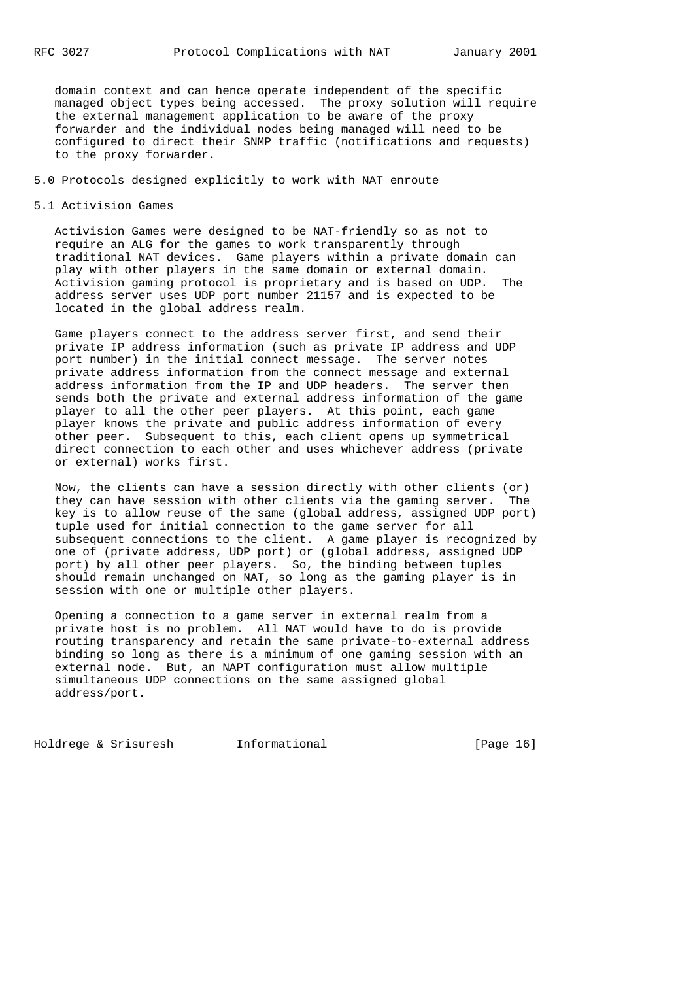domain context and can hence operate independent of the specific managed object types being accessed. The proxy solution will require the external management application to be aware of the proxy forwarder and the individual nodes being managed will need to be configured to direct their SNMP traffic (notifications and requests) to the proxy forwarder.

# 5.0 Protocols designed explicitly to work with NAT enroute

## 5.1 Activision Games

 Activision Games were designed to be NAT-friendly so as not to require an ALG for the games to work transparently through traditional NAT devices. Game players within a private domain can play with other players in the same domain or external domain. Activision gaming protocol is proprietary and is based on UDP. The address server uses UDP port number 21157 and is expected to be located in the global address realm.

 Game players connect to the address server first, and send their private IP address information (such as private IP address and UDP port number) in the initial connect message. The server notes private address information from the connect message and external address information from the IP and UDP headers. The server then sends both the private and external address information of the game player to all the other peer players. At this point, each game player knows the private and public address information of every other peer. Subsequent to this, each client opens up symmetrical direct connection to each other and uses whichever address (private or external) works first.

 Now, the clients can have a session directly with other clients (or) they can have session with other clients via the gaming server. The key is to allow reuse of the same (global address, assigned UDP port) tuple used for initial connection to the game server for all subsequent connections to the client. A game player is recognized by one of (private address, UDP port) or (global address, assigned UDP port) by all other peer players. So, the binding between tuples should remain unchanged on NAT, so long as the gaming player is in session with one or multiple other players.

 Opening a connection to a game server in external realm from a private host is no problem. All NAT would have to do is provide routing transparency and retain the same private-to-external address binding so long as there is a minimum of one gaming session with an external node. But, an NAPT configuration must allow multiple simultaneous UDP connections on the same assigned global address/port.

Holdrege & Srisuresh Informational [Page 16]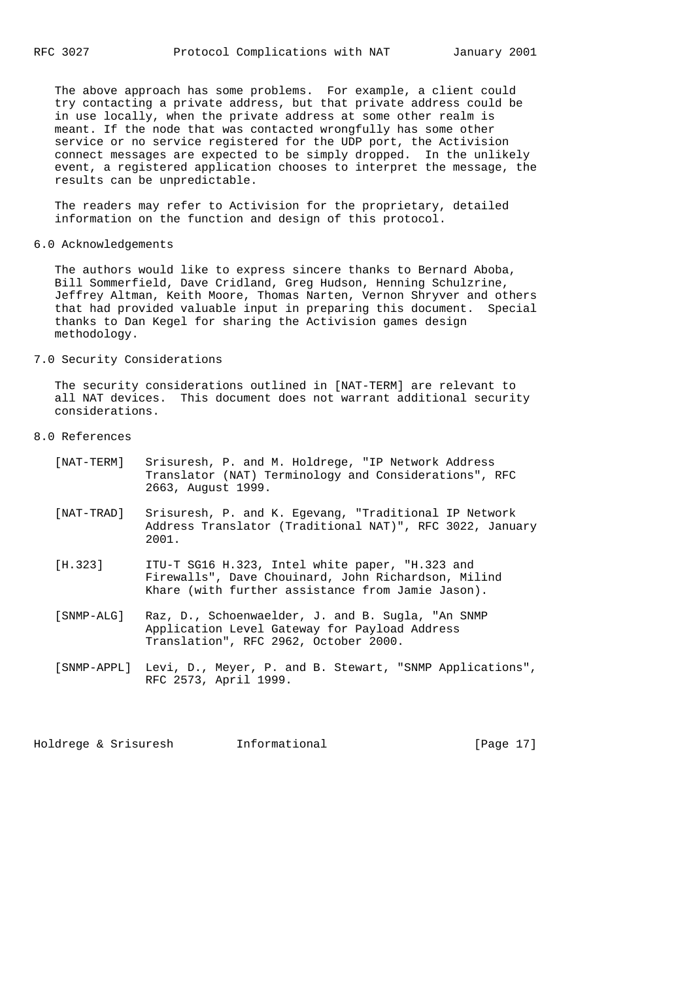The above approach has some problems. For example, a client could try contacting a private address, but that private address could be in use locally, when the private address at some other realm is meant. If the node that was contacted wrongfully has some other service or no service registered for the UDP port, the Activision connect messages are expected to be simply dropped. In the unlikely event, a registered application chooses to interpret the message, the results can be unpredictable.

 The readers may refer to Activision for the proprietary, detailed information on the function and design of this protocol.

6.0 Acknowledgements

 The authors would like to express sincere thanks to Bernard Aboba, Bill Sommerfield, Dave Cridland, Greg Hudson, Henning Schulzrine, Jeffrey Altman, Keith Moore, Thomas Narten, Vernon Shryver and others that had provided valuable input in preparing this document. Special thanks to Dan Kegel for sharing the Activision games design methodology.

7.0 Security Considerations

 The security considerations outlined in [NAT-TERM] are relevant to all NAT devices. This document does not warrant additional security considerations.

8.0 References

| [NAT-TERM] | Srisuresh, P. and M. Holdrege, "IP Network Address<br>Translator (NAT) Terminology and Considerations", RFC<br>2663, August 1999.                           |
|------------|-------------------------------------------------------------------------------------------------------------------------------------------------------------|
| [NAT-TRAD] | Srisuresh, P. and K. Egevang, "Traditional IP Network<br>Address Translator (Traditional NAT)", RFC 3022, January<br>2001.                                  |
| [H.323]    | ITU-T SG16 H.323, Intel white paper, "H.323 and<br>Firewalls", Dave Chouinard, John Richardson, Milind<br>Khare (with further assistance from Jamie Jason). |
| [SNMP-ALG] | Raz, D., Schoenwaelder, J. and B. Sugla, "An SNMP<br>Application Level Gateway for Payload Address<br>Translation", RFC 2962, October 2000.                 |

 [SNMP-APPL] Levi, D., Meyer, P. and B. Stewart, "SNMP Applications", RFC 2573, April 1999.

Holdrege & Srisuresh Informational [Page 17]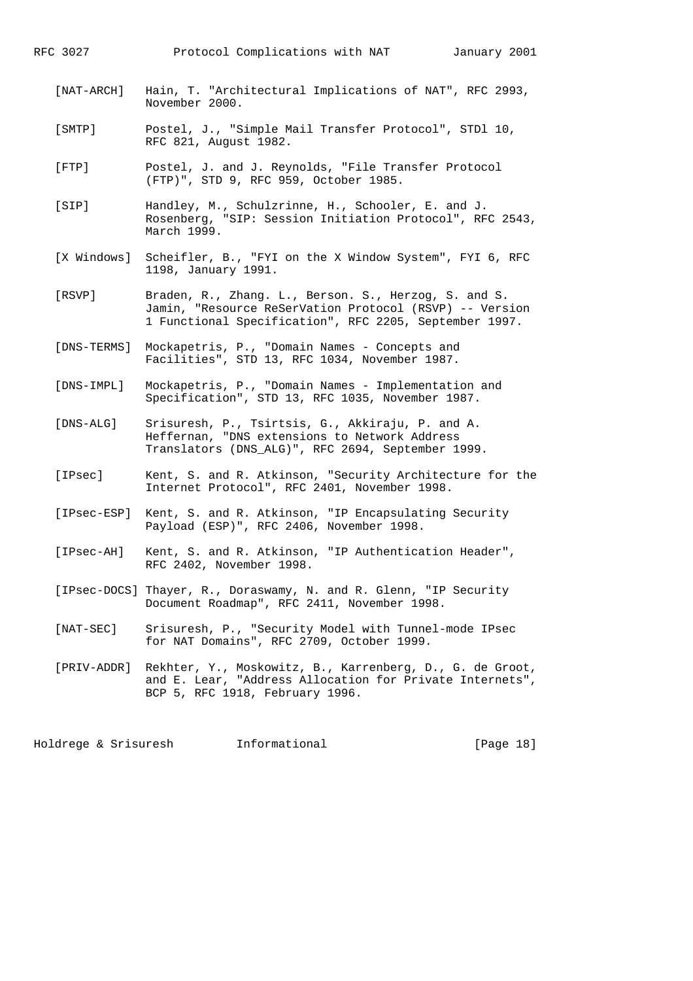| [NAT-ARCH]      | Hain, T. "Architectural Implications of NAT", RFC 2993,<br>November 2000.                                                                                                 |
|-----------------|---------------------------------------------------------------------------------------------------------------------------------------------------------------------------|
| [SMTP]          | Postel, J., "Simple Mail Transfer Protocol", STDl 10,<br>RFC 821, August 1982.                                                                                            |
| $[$ FTP $]$     | Postel, J. and J. Reynolds, "File Transfer Protocol<br>(FTP)", STD 9, RFC 959, October 1985.                                                                              |
| [SIP]           | Handley, M., Schulzrinne, H., Schooler, E. and J.<br>Rosenberg, "SIP: Session Initiation Protocol", RFC 2543,<br>March 1999.                                              |
| [X Windows]     | Scheifler, B., "FYI on the X Window System", FYI 6, RFC<br>1198, January 1991.                                                                                            |
| [RSVP]          | Braden, R., Zhang. L., Berson. S., Herzog, S. and S.<br>Jamin, "Resource ReSerVation Protocol (RSVP) -- Version<br>1 Functional Specification", RFC 2205, September 1997. |
| [DNS-TERMS]     | Mockapetris, P., "Domain Names - Concepts and<br>Facilities", STD 13, RFC 1034, November 1987.                                                                            |
| [DNS-IMPL]      | Mockapetris, P., "Domain Names - Implementation and<br>Specification", STD 13, RFC 1035, November 1987.                                                                   |
| [DNS-ALG]       | Srisuresh, P., Tsirtsis, G., Akkiraju, P. and A.<br>Heffernan, "DNS extensions to Network Address<br>Translators (DNS_ALG)", RFC 2694, September 1999.                    |
| [IPsec]         | Kent, S. and R. Atkinson, "Security Architecture for the<br>Internet Protocol", RFC 2401, November 1998.                                                                  |
| [IPsec-ESP]     | Kent, S. and R. Atkinson, "IP Encapsulating Security<br>Payload (ESP)", RFC 2406, November 1998.                                                                          |
| [IPsec-AH]      | Kent, S. and R. Atkinson, "IP Authentication Header",<br>RFC 2402, November 1998.                                                                                         |
|                 | [IPsec-DOCS] Thayer, R., Doraswamy, N. and R. Glenn, "IP Security<br>Document Roadmap", RFC 2411, November 1998.                                                          |
| $[$ NAT-SEC $]$ | Srisuresh, P., "Security Model with Tunnel-mode IPsec<br>for NAT Domains", RFC 2709, October 1999.                                                                        |
| [PRIV-ADDR]     | Rekhter, Y., Moskowitz, B., Karrenberg, D., G. de Groot,<br>and E. Lear, "Address Allocation for Private Internets",<br>BCP 5, RFC 1918, February 1996.                   |
|                 |                                                                                                                                                                           |

Holdrege & Srisuresh 1nformational 1999 [Page 18]

RFC 3027 Protocol Complications with NAT January 2001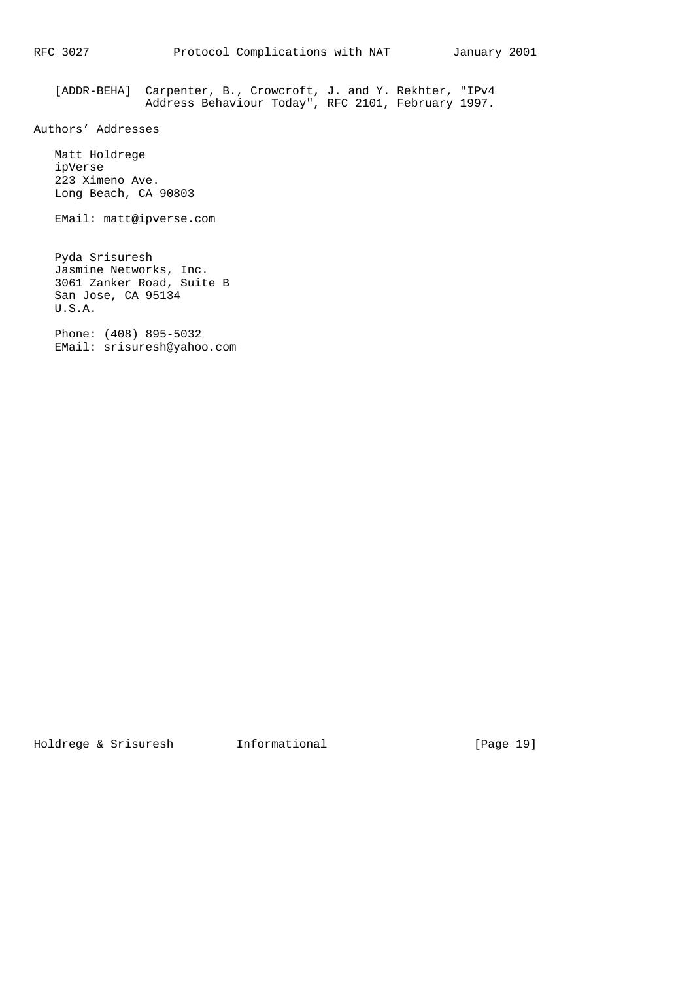[ADDR-BEHA] Carpenter, B., Crowcroft, J. and Y. Rekhter, "IPv4 Address Behaviour Today", RFC 2101, February 1997.

Authors' Addresses

 Matt Holdrege ipVerse 223 Ximeno Ave. Long Beach, CA 90803

EMail: matt@ipverse.com

 Pyda Srisuresh Jasmine Networks, Inc. 3061 Zanker Road, Suite B San Jose, CA 95134 U.S.A.

 Phone: (408) 895-5032 EMail: srisuresh@yahoo.com

Holdrege & Srisuresh Informational [Page 19]